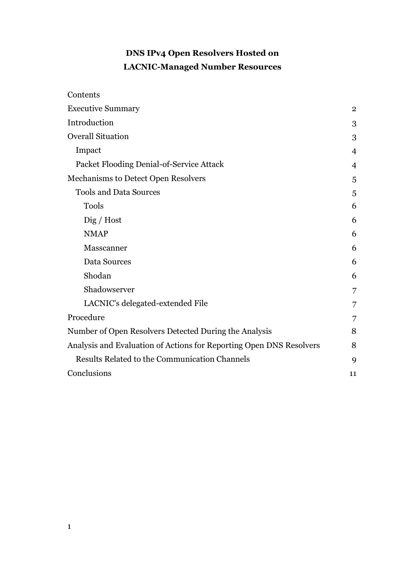# **DNS IPv4 Open Resolvers Hosted on LACNIC-Managed Number Resources**

| Contents                                                            |                |
|---------------------------------------------------------------------|----------------|
| <b>Executive Summary</b>                                            | $\overline{2}$ |
| Introduction                                                        | 3              |
| <b>Overall Situation</b>                                            | 3              |
| Impact                                                              | $\overline{4}$ |
| Packet Flooding Denial-of-Service Attack                            | 4              |
| Mechanisms to Detect Open Resolvers                                 | 5              |
| <b>Tools and Data Sources</b>                                       | 5              |
| <b>Tools</b>                                                        | 6              |
| $\chi$ Dig / Host                                                   | 6              |
| <b>NMAP</b>                                                         | 6              |
| Masscanner                                                          | 6              |
| Data Sources                                                        | 6              |
| Shodan                                                              | 6              |
| Shadowserver                                                        | 7              |
| LACNIC's delegated-extended File                                    | 7              |
| Procedure                                                           | 7              |
| Number of Open Resolvers Detected During the Analysis               | 8              |
| Analysis and Evaluation of Actions for Reporting Open DNS Resolvers | 8              |
| <b>Results Related to the Communication Channels</b>                | 9              |
| Conclusions                                                         | 11             |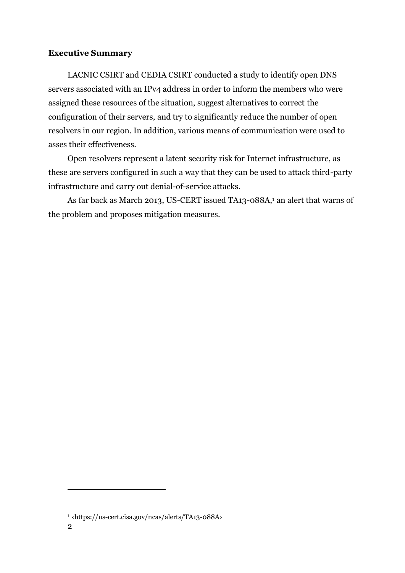## <span id="page-1-0"></span>**Executive Summary**

LACNIC CSIRT and CEDIA CSIRT conducted a study to identify open DNS servers associated with an IPv4 address in order to inform the members who were assigned these resources of the situation, suggest alternatives to correct the configuration of their servers, and try to significantly reduce the number of open resolvers in our region. In addition, various means of communication were used to asses their effectiveness.

Open resolvers represent a latent security risk for Internet infrastructure, as these are servers configured in such a way that they can be used to attack third-party infrastructure and carry out denial-of-service attacks.

As far back as March 2013, US-CERT issued TA13-088A,<sup>1</sup> an alert that warns of the problem and proposes mitigation measures.

<sup>1</sup> ‹https://us-cert.cisa.gov/ncas/alerts/TA13-088A›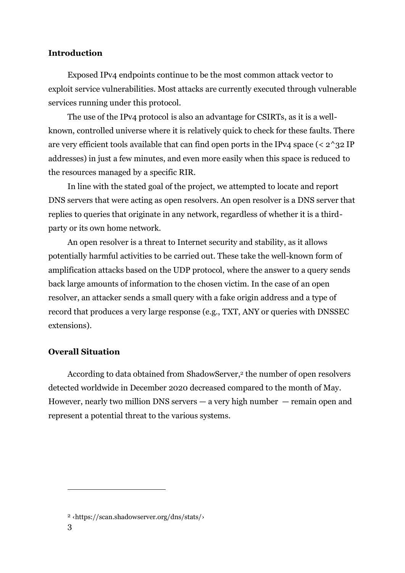#### <span id="page-2-0"></span>**Introduction**

Exposed IPv4 endpoints continue to be the most common attack vector to exploit service vulnerabilities. Most attacks are currently executed through vulnerable services running under this protocol.

The use of the IPv4 protocol is also an advantage for CSIRTs, as it is a wellknown, controlled universe where it is relatively quick to check for these faults. There are very efficient tools available that can find open ports in the IPv4 space ( $\langle 2^{\wedge}32 \text{ IP} \rangle$ addresses) in just a few minutes, and even more easily when this space is reduced to the resources managed by a specific RIR.

In line with the stated goal of the project, we attempted to locate and report DNS servers that were acting as open resolvers. An open resolver is a DNS server that replies to queries that originate in any network, regardless of whether it is a thirdparty or its own home network.

An open resolver is a threat to Internet security and stability, as it allows potentially harmful activities to be carried out. These take the well-known form of amplification attacks based on the UDP protocol, where the answer to a query sends back large amounts of information to the chosen victim. In the case of an open resolver, an attacker sends a small query with a fake origin address and a type of record that produces a very large response (e.g., TXT, ANY or queries with DNSSEC extensions).

#### <span id="page-2-1"></span>**Overall Situation**

According to data obtained from ShadowServer,<sup>2</sup> the number of open resolvers detected worldwide in December 2020 decreased compared to the month of May. However, nearly two million DNS servers  $-$  a very high number  $-$  remain open and represent a potential threat to the various systems.

<sup>2</sup> ‹https://scan.shadowserver.org/dns/stats/›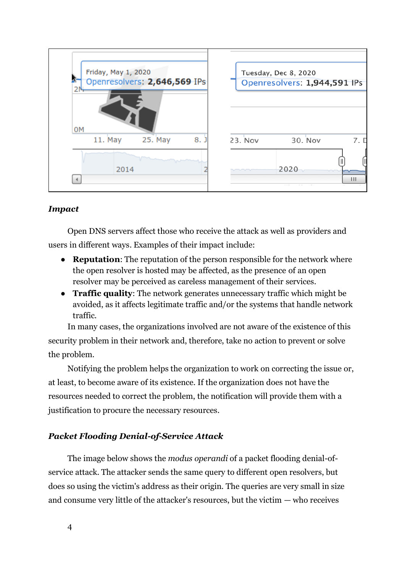

# <span id="page-3-0"></span>*Impact*

Open DNS servers affect those who receive the attack as well as providers and users in different ways. Examples of their impact include:

- **Reputation**: The reputation of the person responsible for the network where the open resolver is hosted may be affected, as the presence of an open resolver may be perceived as careless management of their services.
- **Traffic quality**: The network generates unnecessary traffic which might be avoided, as it affects legitimate traffic and/or the systems that handle network traffic.

In many cases, the organizations involved are not aware of the existence of this security problem in their network and, therefore, take no action to prevent or solve the problem.

Notifying the problem helps the organization to work on correcting the issue or, at least, to become aware of its existence. If the organization does not have the resources needed to correct the problem, the notification will provide them with a justification to procure the necessary resources.

# <span id="page-3-1"></span>*Packet Flooding Denial-of-Service Attack*

The image below shows the *modus operandi* of a packet flooding denial-ofservice attack. The attacker sends the same query to different open resolvers, but does so using the victim's address as their origin. The queries are very small in size and consume very little of the attacker's resources, but the victim  $-$  who receives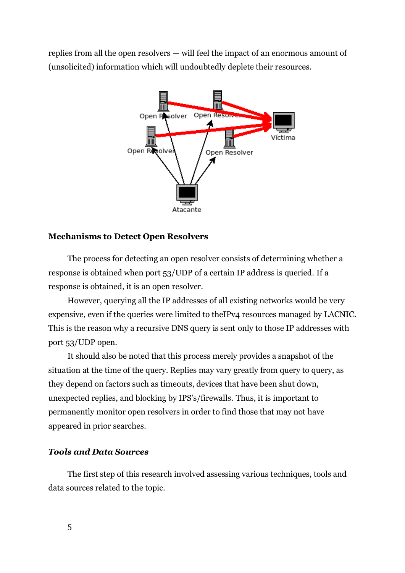replies from all the open resolvers — will feel the impact of an enormous amount of (unsolicited) information which will undoubtedly deplete their resources.



#### <span id="page-4-0"></span>**Mechanisms to Detect Open Resolvers**

The process for detecting an open resolver consists of determining whether a response is obtained when port 53/UDP of a certain IP address is queried. If a response is obtained, it is an open resolver.

However, querying all the IP addresses of all existing networks would be very expensive, even if the queries were limited to theIPv4 resources managed by LACNIC. This is the reason why a recursive DNS query is sent only to those IP addresses with port 53/UDP open.

It should also be noted that this process merely provides a snapshot of the situation at the time of the query. Replies may vary greatly from query to query, as they depend on factors such as timeouts, devices that have been shut down, unexpected replies, and blocking by IPS's/firewalls. Thus, it is important to permanently monitor open resolvers in order to find those that may not have appeared in prior searches.

#### <span id="page-4-1"></span>*Tools and Data Sources*

The first step of this research involved assessing various techniques, tools and data sources related to the topic.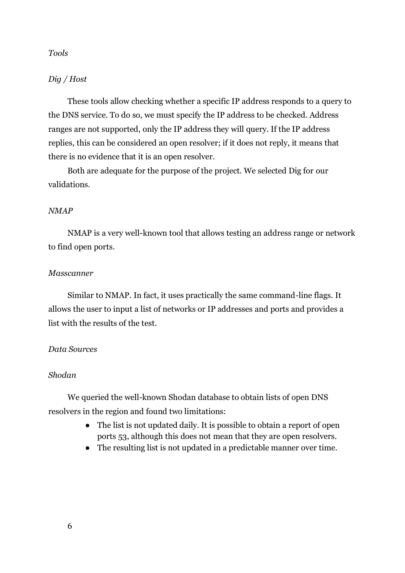#### <span id="page-5-0"></span>*Tools*

#### <span id="page-5-1"></span>*Dig / Host*

These tools allow checking whether a specific IP address responds to a query to the DNS service. To do so, we must specify the IP address to be checked. Address ranges are not supported, only the IP address they will query. If the IP address replies, this can be considered an open resolver; if it does not reply, it means that there is no evidence that it is an open resolver.

Both are adequate for the purpose of the project. We selected Dig for our validations.

#### <span id="page-5-2"></span>*NMAP*

NMAP is a very well-known tool that allows testing an address range or network to find open ports.

#### <span id="page-5-3"></span>*Masscanner*

Similar to NMAP. In fact, it uses practically the same command-line flags. It allows the user to input a list of networks or IP addresses and ports and provides a list with the results of the test.

#### <span id="page-5-4"></span>*Data Sources*

#### <span id="page-5-5"></span>*Shodan*

We queried the well-known Shodan database to obtain lists of open DNS resolvers in the region and found two limitations:

- The list is not updated daily. It is possible to obtain a report of open ports 53, although this does not mean that they are open resolvers.
- The resulting list is not updated in a predictable manner over time.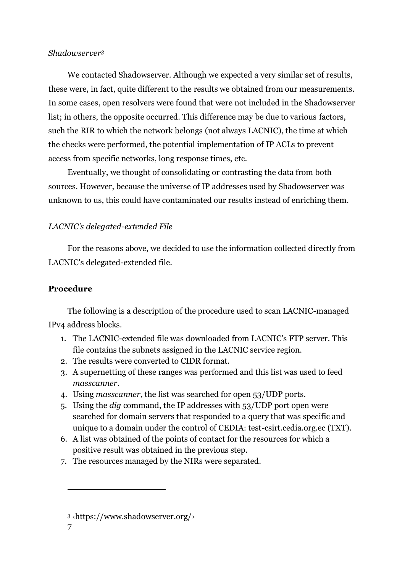#### <span id="page-6-0"></span>*Shadowserver<sup>3</sup>*

We contacted Shadowserver. Although we expected a very similar set of results, these were, in fact, quite different to the results we obtained from our measurements. In some cases, open resolvers were found that were not included in the Shadowserver list; in others, the opposite occurred. This difference may be due to various factors, such the RIR to which the network belongs (not always LACNIC), the time at which the checks were performed, the potential implementation of IP ACLs to prevent access from specific networks, long response times, etc.

Eventually, we thought of consolidating or contrasting the data from both sources. However, because the universe of IP addresses used by Shadowserver was unknown to us, this could have contaminated our results instead of enriching them.

# <span id="page-6-1"></span>*LACNIC's delegated-extended File*

For the reasons above, we decided to use the information collected directly from LACNIC's delegated-extended file.

## <span id="page-6-2"></span>**Procedure**

The following is a description of the procedure used to scan LACNIC-managed IPv4 address blocks.

- 1. The LACNIC-extended file was downloaded from LACNIC's FTP server. This file contains the subnets assigned in the LACNIC service region.
- 2. The results were converted to CIDR format.
- 3. A supernetting of these ranges was performed and this list was used to feed *masscanner*.
- 4. Using *masscanner*, the list was searched for open 53/UDP ports.
- 5. Using the *dig* command, the IP addresses with 53/UDP port open were searched for domain servers that responded to a query that was specific and unique to a domain under the control of CEDIA: test-csirt.cedia.org.ec (TXT).
- 6. A list was obtained of the points of contact for the resources for which a positive result was obtained in the previous step.
- 7. The resources managed by the NIRs were separated.

<sup>3</sup> ‹<https://www.shadowserver.org/>›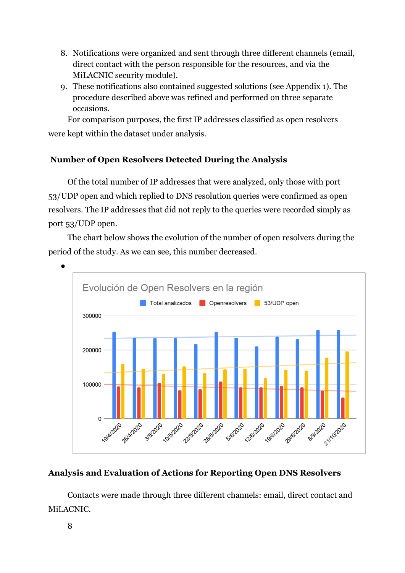- 8. Notifications were organized and sent through three different channels (email, direct contact with the person responsible for the resources, and via the MiLACNIC security module).
- 9. These notifications also contained suggested solutions (see Appendix 1). The procedure described above was refined and performed on three separate occasions.

For comparison purposes, the first IP addresses classified as open resolvers were kept within the dataset under analysis.

# <span id="page-7-0"></span>**Number of Open Resolvers Detected During the Analysis**

Of the total number of IP addresses that were analyzed, only those with port 53/UDP open and which replied to DNS resolution queries were confirmed as open resolvers. The IP addresses that did not reply to the queries were recorded simply as port 53/UDP open.

The chart below shows the evolution of the number of open resolvers during the period of the study. As we can see, this number decreased.



# <span id="page-7-1"></span>**Analysis and Evaluation of Actions for Reporting Open DNS Resolvers**

Contacts were made through three different channels: email, direct contact and MiLACNIC.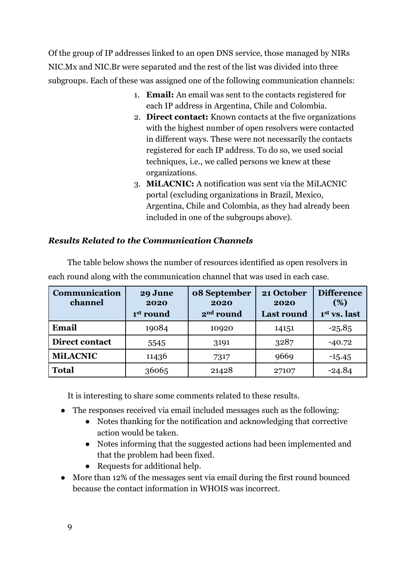Of the group of IP addresses linked to an open DNS service, those managed by NIRs NIC.Mx and NIC.Br were separated and the rest of the list was divided into three subgroups. Each of these was assigned one of the following communication channels:

- 1. **Email:** An email was sent to the contacts registered for each IP address in Argentina, Chile and Colombia.
- 2. **Direct contact:** Known contacts at the five organizations with the highest number of open resolvers were contacted in different ways. These were not necessarily the contacts registered for each IP address. To do so, we used social techniques, i.e., we called persons we knew at these organizations.
- 3. **MiLACNIC:** A notification was sent via the MiLACNIC portal (excluding organizations in Brazil, Mexico, Argentina, Chile and Colombia, as they had already been included in one of the subgroups above).

# <span id="page-8-0"></span>*Results Related to the Communication Channels*

| Communication<br>channel | 29 June<br>2020<br>1st round | 08 September<br>2020<br>2 <sup>nd</sup> round | 21 October<br>2020<br><b>Last round</b> | <b>Difference</b><br>(%)<br>1st vs. last |
|--------------------------|------------------------------|-----------------------------------------------|-----------------------------------------|------------------------------------------|
| Email                    | 19084                        | 10920                                         | 14151                                   | $-25.85$                                 |
| <b>Direct contact</b>    | 5545                         | 3191                                          | 3287                                    | $-40.72$                                 |
| <b>MiLACNIC</b>          | 11436                        | 7317                                          | 9669                                    | $-15.45$                                 |
| <b>Total</b>             | 36065                        | 21428                                         | 27107                                   | $-24.84$                                 |

The table below shows the number of resources identified as open resolvers in each round along with the communication channel that was used in each case.

It is interesting to share some comments related to these results.

- The responses received via email included messages such as the following:
	- Notes thanking for the notification and acknowledging that corrective action would be taken.
	- Notes informing that the suggested actions had been implemented and that the problem had been fixed.
	- Requests for additional help.
- More than 12% of the messages sent via email during the first round bounced because the contact information in WHOIS was incorrect.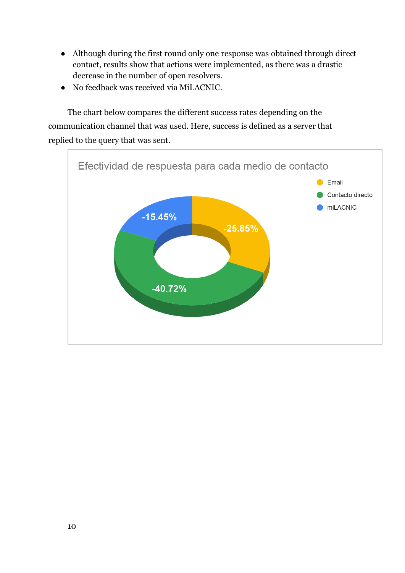- Although during the first round only one response was obtained through direct contact, results show that actions were implemented, as there was a drastic decrease in the number of open resolvers.
- No feedback was received via MiLACNIC.

The chart below compares the different success rates depending on the communication channel that was used. Here, success is defined as a server that replied to the query that was sent.